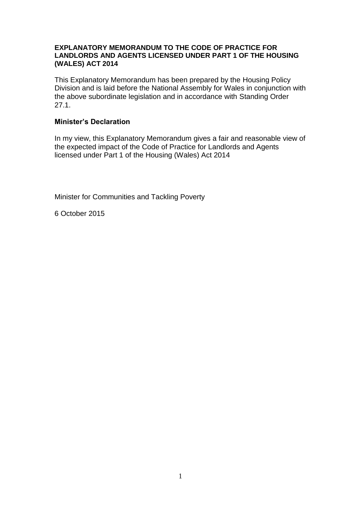#### **EXPLANATORY MEMORANDUM TO THE CODE OF PRACTICE FOR LANDLORDS AND AGENTS LICENSED UNDER PART 1 OF THE HOUSING (WALES) ACT 2014**

This Explanatory Memorandum has been prepared by the Housing Policy Division and is laid before the National Assembly for Wales in conjunction with the above subordinate legislation and in accordance with Standing Order 27.1.

## **Minister's Declaration**

In my view, this Explanatory Memorandum gives a fair and reasonable view of the expected impact of the Code of Practice for Landlords and Agents licensed under Part 1 of the Housing (Wales) Act 2014

Minister for Communities and Tackling Poverty

6 October 2015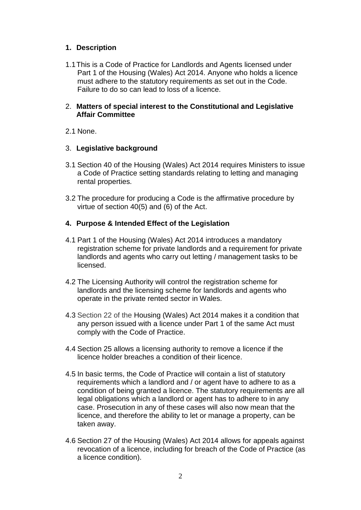# **1. Description**

1.1This is a Code of Practice for Landlords and Agents licensed under Part 1 of the Housing (Wales) Act 2014. Anyone who holds a licence must adhere to the statutory requirements as set out in the Code. Failure to do so can lead to loss of a licence.

## 2. **Matters of special interest to the Constitutional and Legislative Affair Committee**

2.1 None.

## 3. **Legislative background**

- 3.1 Section 40 of the Housing (Wales) Act 2014 requires Ministers to issue a Code of Practice setting standards relating to letting and managing rental properties.
- 3.2 The procedure for producing a Code is the affirmative procedure by virtue of section 40(5) and (6) of the Act.

# **4. Purpose & Intended Effect of the Legislation**

- 4.1 Part 1 of the Housing (Wales) Act 2014 introduces a mandatory registration scheme for private landlords and a requirement for private landlords and agents who carry out letting / management tasks to be licensed.
- 4.2 The Licensing Authority will control the registration scheme for landlords and the licensing scheme for landlords and agents who operate in the private rented sector in Wales.
- 4.3 Section 22 of the Housing (Wales) Act 2014 makes it a condition that any person issued with a licence under Part 1 of the same Act must comply with the Code of Practice.
- 4.4 Section 25 allows a licensing authority to remove a licence if the licence holder breaches a condition of their licence.
- 4.5 In basic terms, the Code of Practice will contain a list of statutory requirements which a landlord and / or agent have to adhere to as a condition of being granted a licence. The statutory requirements are all legal obligations which a landlord or agent has to adhere to in any case. Prosecution in any of these cases will also now mean that the licence, and therefore the ability to let or manage a property, can be taken away.
- 4.6 Section 27 of the Housing (Wales) Act 2014 allows for appeals against revocation of a licence, including for breach of the Code of Practice (as a licence condition).